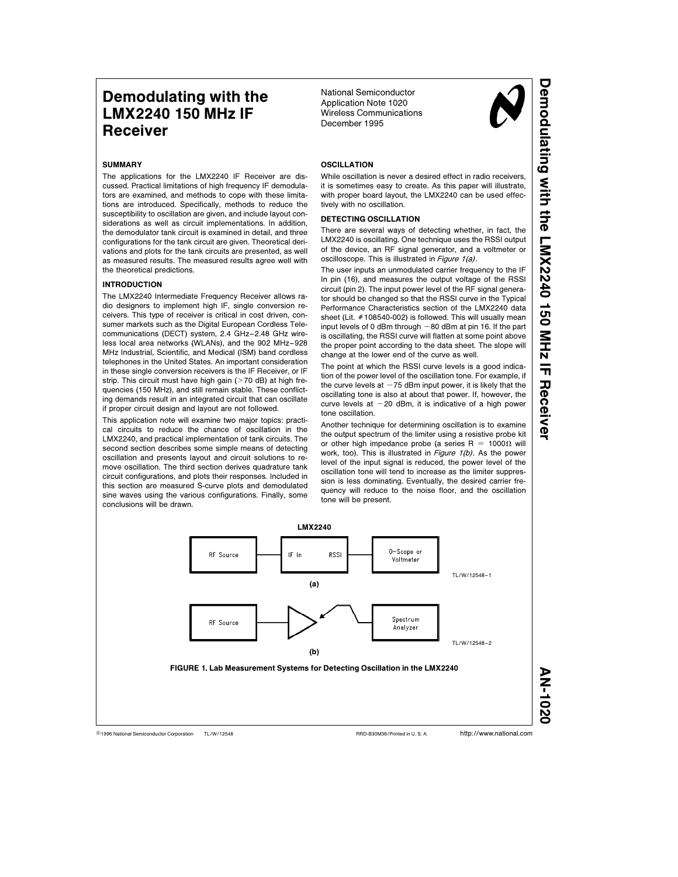# Demodulating with the LMX2240 150 MHz IF Receiver

### **SUMMARY**

The applications for the LMX2240 IF Receiver are discussed. Practical limitations of high frequency IF demodulators are examined, and methods to cope with these limitations are introduced. Specifically, methods to reduce the susceptibility to oscillation are given, and include layout considerations as well as circuit implementations. In addition the demodulator tank circuit is examined in detail, and three configurations for the tank circuit are given. Theoretical derivations and plots for the tank circuits are presented, as well as measured results. The measured results agree well with the theoretical predictions.

## **INTRODUCTION**

The LMX2240 Intermediate Frequency Receiver allows radio designers to implement high IF, single conversion receivers. This type of receiver is critical in cost driven, consumer markets such as the Digital European Cordless Telecommunications (DECT) system, 2.4 GHz-2.48 GHz wireless local area networks (WLANs), and the 902 MHz-928 MHz Industrial, Scientific, and Medical (ISM) band cordless telephones in the United States. An important consideration in these single conversion receivers is the IF Receiver, or IF strip. This circuit must have high gain ( $>$ 70 dB) at high frequencies (150 MHz), and still remain stable. These conflicting demands result in an integrated circuit that can oscillate if proper circuit design and layout are not followed.

This application note will examine two major topics: practical circuits to reduce the chance of oscillation in the LMX2240, and practical implementation of tank circuits. The second section describes some simple means of detecting oscillation and presents layout and circuit solutions to remove oscillation. The third section derives quadrature tank circuit configurations, and plots their responses. Included in this section are measured S-curve plots and demodulated sine waves using the various configurations. Finally, some conclusions will be drawn.

National Semiconductor Application Note 1020 Wireless Communications December 1995



# **OSCILLATION**

While oscillation is never a desired effect in radio receivers, it is sometimes easy to create. As this paper will illustrate, with proper board layout, the LMX2240 can be used effectively with no oscillation.

### DETECTING OSCILLATION

There are several ways of detecting whether, in fact, the LMX2240 is oscillating. One technique uses the RSSI output of the device, an RF signal generator, and a voltmeter or oscilloscope. This is illustrated in *Figure 1(a)*.

The user inputs an unmodulated carrier frequency to the IF In pin (16), and measures the output voltage of the RSSI circuit (pin 2). The input power level of the RF signal generator should be changed so that the RSSI curve in the Typical Performance Characteristics section of the LMX2240 data sheet (Lit.  $#108540-002$ ) is followed. This will usually mean input levels of 0 dBm through  $-80$  dBm at pin 16. If the part is oscillating, the RSSI curve will flatten at some point above the proper point according to the data sheet. The slope will change at the lower end of the curve as well.

The point at which the RSSI curve levels is a good indication of the power level of the oscillation tone. For example, if the curve levels at  $-75$  dBm input power, it is likely that the oscillating tone is also at about that power. If, however, the curve levels at  $-20$  dBm, it is indicative of a high power tone oscillation.

Another technique for determining oscillation is to examine the output spectrum of the limiter using a resistive probe kit or other high impedance probe (a series R =  $1000\Omega$  will work, too). This is illustrated in Figure 1(b). As the power level of the input signal is reduced, the power level of the oscillation tone will tend to increase as the limiter suppression is less dominating. Eventually, the desired carrier frequency will reduce to the noise floor, and the oscillation tone will be present.





TL/W/12548

AN-1020

AN-102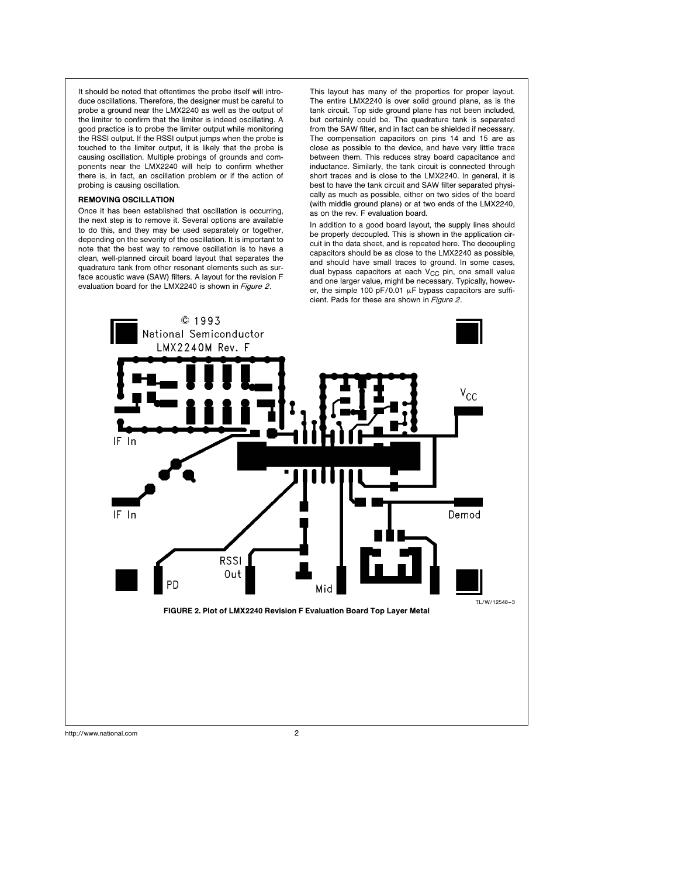It should be noted that oftentimes the probe itself will introduce oscillations. Therefore, the designer must be careful to probe a ground near the LMX2240 as well as the output of the limiter to confirm that the limiter is indeed oscillating. A good practice is to probe the limiter output while monitoring the RSSI output. If the RSSI output jumps when the probe is touched to the limiter output, it is likely that the probe is causing oscillation. Multiple probings of grounds and components near the LMX2240 will help to confirm whether there is, in fact, an oscillation problem or if the action of probing is causing oscillation.

# REMOVING OSCILLATION

Once it has been established that oscillation is occurring, the next step is to remove it. Several options are available to do this, and they may be used separately or together, depending on the severity of the oscillation. It is important to note that the best way to remove oscillation is to have a clean, well-planned circuit board layout that separates the quadrature tank from other resonant elements such as surface acoustic wave (SAW) filters. A layout for the revision F evaluation board for the LMX2240 is shown in Figure 2.

This layout has many of the properties for proper layout. The entire LMX2240 is over solid ground plane, as is the tank circuit. Top side ground plane has not been included, but certainly could be. The quadrature tank is separated from the SAW filter, and in fact can be shielded if necessary. The compensation capacitors on pins 14 and 15 are as close as possible to the device, and have very little trace between them. This reduces stray board capacitance and inductance. Similarly, the tank circuit is connected through short traces and is close to the LMX2240. In general, it is best to have the tank circuit and SAW filter separated physically as much as possible, either on two sides of the board (with middle ground plane) or at two ends of the LMX2240, as on the rev. F evaluation board.

In addition to a good board layout, the supply lines should be properly decoupled. This is shown in the application circuit in the data sheet, and is repeated here. The decoupling capacitors should be as close to the LMX2240 as possible, and should have small traces to ground. In some cases, dual bypass capacitors at each  $V_{CC}$  pin, one small value and one larger value, might be necessary. Typically, however, the simple 100 pF/0.01  $\mu$ F bypass capacitors are sufficient. Pads for these are shown in Figure 2.

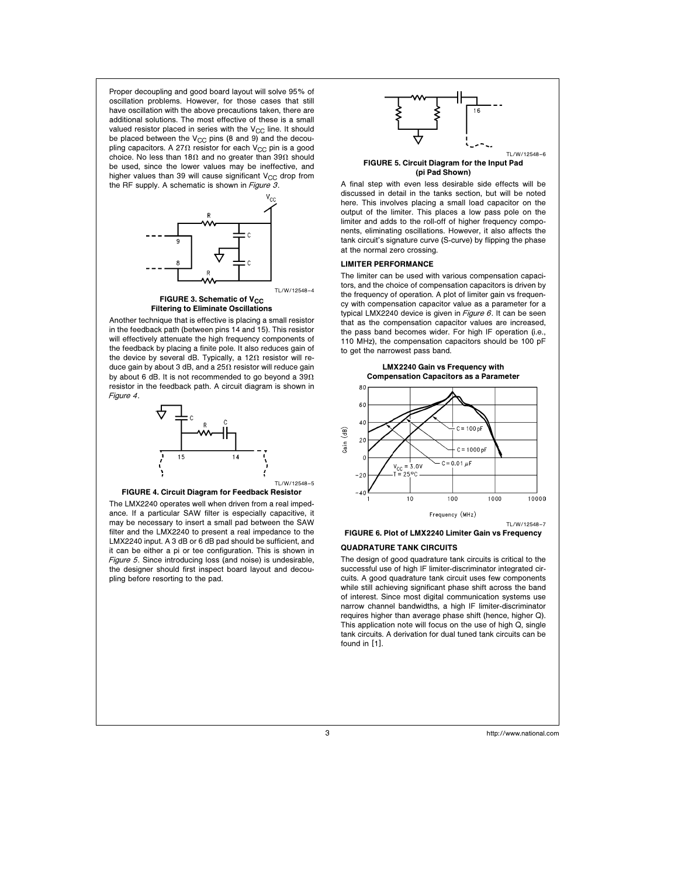Proper decoupling and good board layout will solve 95% of oscillation problems. However, for those cases that still have oscillation with the above precautions taken, there are additional solutions. The most effective of these is a small valued resistor placed in series with the  $V_{CC}$  line. It should be placed between the  $V_{CC}$  pins (8 and 9) and the decoupling capacitors. A 27 $\Omega$  resistor for each V<sub>CC</sub> pin is a good choice. No less than 18 $\Omega$  and no greater than 39 $\Omega$  should be used, since the lower values may be ineffective, and higher values than 39 will cause significant  $V_{CC}$  drop from the RF supply. A schematic is shown in *Figure 3*.



### FIGURE 3. Schematic of V<sub>CC</sub> Filtering to Eliminate Oscillations

Another technique that is effective is placing a small resistor in the feedback path (between pins 14 and 15). This resistor will effectively attenuate the high frequency components of the feedback by placing a finite pole. It also reduces gain of the device by several dB. Typically, a 12 $\Omega$  resistor will reduce gain by about 3 dB, and a  $25\Omega$  resistor will reduce gain by about 6 dB. It is not recommended to go beyond a  $39\Omega$ resistor in the feedback path. A circuit diagram is shown in Figure <sup>4</sup>.



FIGURE 4. Circuit Diagram for Feedback Resistor

The LMX2240 operates well when driven from a real impedance. If a particular SAW filter is especially capacitive, it may be necessary to insert a small pad between the SAW filter and the LMX2240 to present a real impedance to the LMX2240 input. A 3 dB or 6 dB pad should be sufficient, and it can be either a pi or tee configuration. This is shown in Figure 5. Since introducing loss (and noise) is undesirable, the designer should first inspect board layout and decoupling before resorting to the pad.



(pi Pad Shown)

A final step with even less desirable side effects will be discussed in detail in the tanks section, but will be noted here. This involves placing a small load capacitor on the output of the limiter. This places a low pass pole on the limiter and adds to the roll-off of higher frequency components, eliminating oscillations. However, it also affects the tank circuit's signature curve (S-curve) by flipping the phase at the normal zero crossing.

### LIMITER PERFORMANCE

The limiter can be used with various compensation capacitors, and the choice of compensation capacitors is driven by the frequency of operation. A plot of limiter gain vs frequency with compensation capacitor value as a parameter for a typical LMX2240 device is given in Figure 6. It can be seen that as the compensation capacitor values are increased, the pass band becomes wider. For high IF operation (i.e., 110 MHz), the compensation capacitors should be 100 pF to get the narrowest pass band.



#### TL/W/12548 –7

# FIGURE 6. Plot of LMX2240 Limiter Gain vs Frequency QUADRATURE TANK CIRCUITS

The design of good quadrature tank circuits is critical to the successful use of high IF limiter-discriminator integrated circuits. A good quadrature tank circuit uses few components while still achieving significant phase shift across the band of interest. Since most digital communication systems use narrow channel bandwidths, a high IF limiter-discriminator requires higher than average phase shift (hence, higher Q). This application note will focus on the use of high Q, single tank circuits. A derivation for dual tuned tank circuits can be found in [1].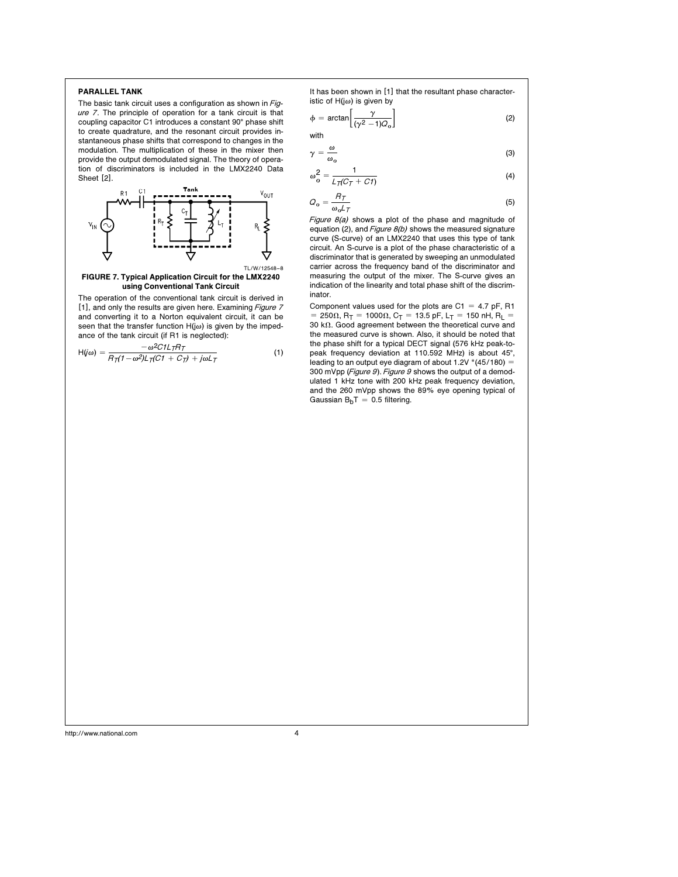## PARALLEL TANK

The basic tank circuit uses a configuration as shown in Figure 7. The principle of operation for a tank circuit is that coupling capacitor C1 introduces a constant 90° phase shift to create quadrature, and the resonant circuit provides instantaneous phase shifts that correspond to changes in the modulation. The multiplication of these in the mixer then provide the output demodulated signal. The theory of operation of discriminators is included in the LMX2240 Data Sheet [2].



TL/W/12548 –8

### FIGURE 7. Typical Application Circuit for the LMX2240 using Conventional Tank Circuit

The operation of the conventional tank circuit is derived in [1], and only the results are given here. Examining Figure 7 and converting it to a Norton equivalent circuit, it can be seen that the transfer function  $H(j\omega)$  is given by the impedance of the tank circuit (if R1 is neglected):<br> $\frac{12}{3}$ 

$$
H(j\omega) = \frac{-\omega^2 C 1 L_T R_T}{R_T (1 - \omega^2) L_T (C1 + C_T) + j\omega L_T}
$$
(1)

It has been shown in [1] that the resultant phase characteristic of  $H(j\omega)$  is given by

$$
\phi = \arctan\left[\frac{\gamma}{(\gamma^2 - 1)Q_o}\right]
$$
\nwith

$$
\gamma = \frac{\omega}{\omega_o} \tag{3}
$$

$$
\omega_o^2 = \frac{1}{L_T(C_T + C_1)}\tag{4}
$$

$$
Q_o = \frac{R_T}{\omega_o L \tau} \tag{5}
$$

Figure  $8(a)$  shows a plot of the phase and magnitude of equation (2), and Figure  $B(b)$  shows the measured signature curve (S-curve) of an LMX2240 that uses this type of tank circuit. An S-curve is a plot of the phase characteristic of a discriminator that is generated by sweeping an unmodulated carrier across the frequency band of the discriminator and measuring the output of the mixer. The S-curve gives an indication of the linearity and total phase shift of the discriminator.

Component values used for the plots are  $C1 = 4.7$  pF, R1  $= 250$ Ω, R<sub>T</sub> = 1000Ω, C<sub>T</sub> = 13.5 pF, L<sub>T</sub> = 150 nH, R<sub>L</sub> = 30 k $\Omega$ . Good agreement between the theoretical curve and the measured curve is shown. Also, it should be noted that the phase shift for a typical DECT signal (576 kHz peak-topeak frequency deviation at 110.592 MHz) is about 45°, leading to an output eye diagram of about  $1.2V$  \*(45/180) = 300 mVpp (Figure 9). Figure 9 shows the output of a demodulated 1 kHz tone with 200 kHz peak frequency deviation, and the 260 mVpp shows the 89% eye opening typical of Gaussian  $B_bT = 0.5$  filtering.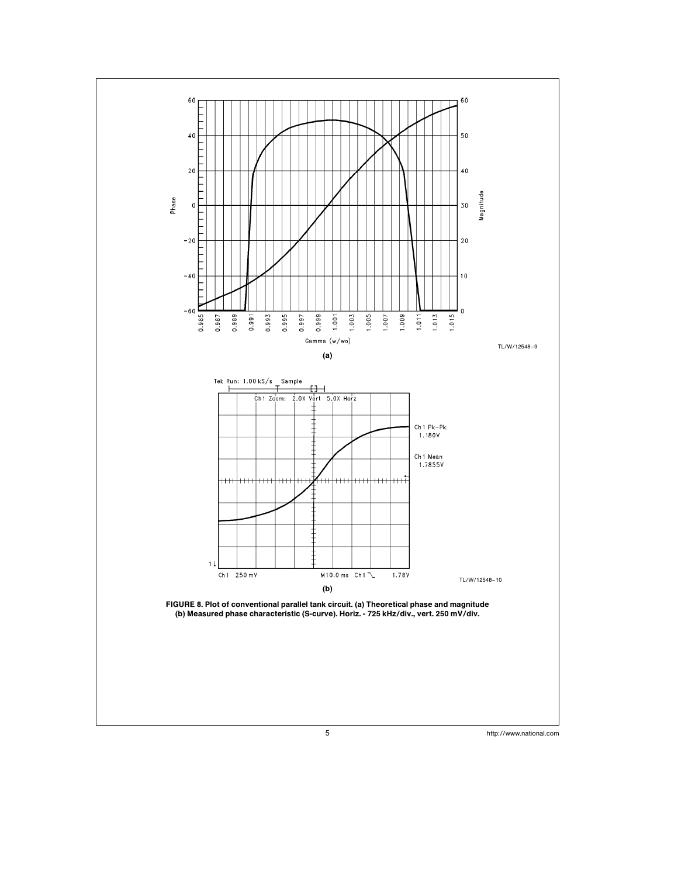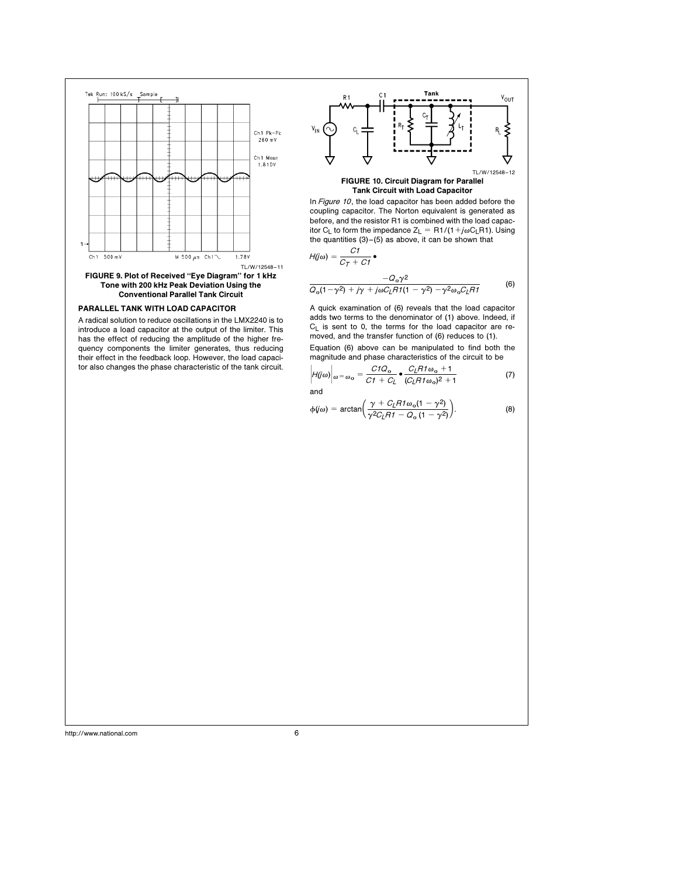

### PARALLEL TANK WITH LOAD CAPACITOR

A radical solution to reduce oscillations in the LMX2240 is to introduce a load capacitor at the output of the limiter. This has the effect of reducing the amplitude of the higher frequency components the limiter generates, thus reducing their effect in the feedback loop. However, the load capacitor also changes the phase characteristic of the tank circuit.



In Figure 10, the load capacitor has been added before the coupling capacitor. The Norton equivalent is generated as before, and the resistor R1 is combined with the load capacitor C<sub>L</sub> to form the impedance  $Z_L = R1/(1+j\omega C_LR1)$ . Using the quantities (3)–(5) as above, it can be shown that

$$
H(j\omega) = \frac{C1}{C_T + Ct} \cdot
$$
  

$$
\frac{-Q_0\gamma^2}{Q_0(1-\gamma^2) + j\gamma + j\omega C_L H I(1-\gamma^2) - \gamma^2 \omega_0 C_L H I}
$$
 (6)

A quick examination of (6) reveals that the load capacitor adds two terms to the denominator of (1) above. Indeed, if  $C_L$  is sent to 0, the terms for the load capacitor are removed, and the transfer function of (6) reduces to (1). Equation (6) above can be manipulated to find both the magnitude and phase characteristics of the circuit to be

$$
\left| H(j\omega) \right|_{\omega = \omega_0} = \frac{C1Q_0}{C1 + C_1} \bullet \frac{C_L H 1\omega_0 + 1}{(C_L H 1\omega_0)^2 + 1}
$$
 (7)

and

$$
\phi(j\omega) = \arctan\left(\frac{\gamma + C_L H \mathbf{1} \omega_0 (1 - \gamma^2)}{\gamma^2 C_L H \mathbf{1} - Q_0 (1 - \gamma^2)}\right).
$$
\n(8)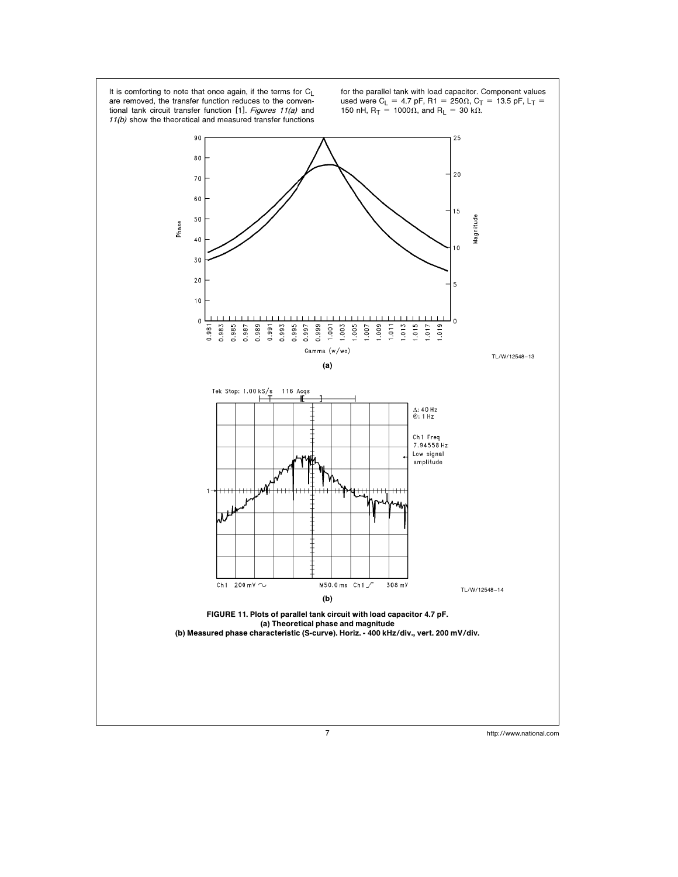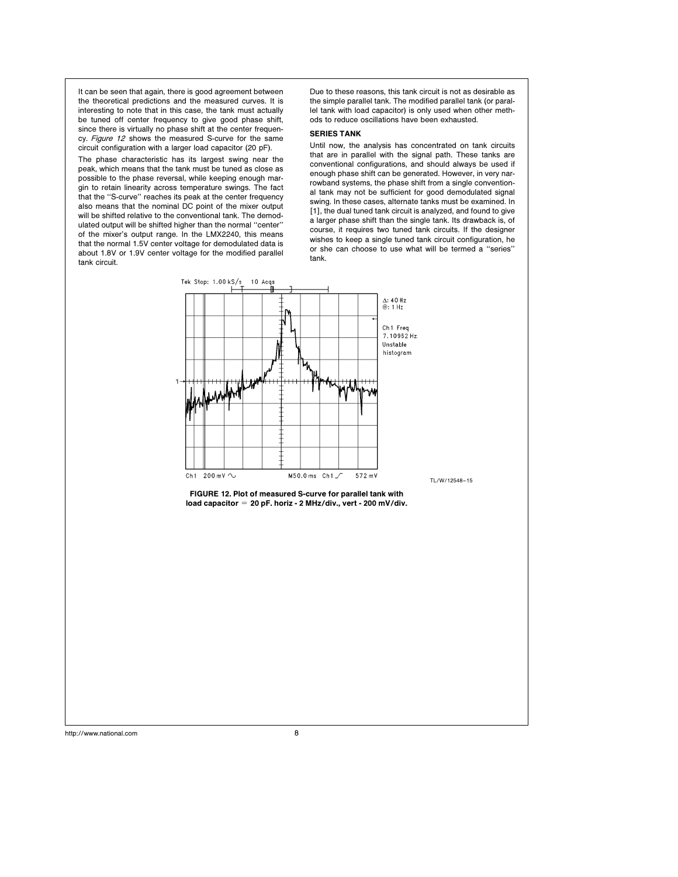It can be seen that again, there is good agreement between the theoretical predictions and the measured curves. It is interesting to note that in this case, the tank must actually be tuned off center frequency to give good phase shift, since there is virtually no phase shift at the center frequency. Figure 12 shows the measured S-curve for the same circuit configuration with a larger load capacitor (20 pF).

The phase characteristic has its largest swing near the peak, which means that the tank must be tuned as close as possible to the phase reversal, while keeping enough margin to retain linearity across temperature swings. The fact that the ''S-curve'' reaches its peak at the center frequency also means that the nominal DC point of the mixer output will be shifted relative to the conventional tank. The demodulated output will be shifted higher than the normal ''center'' of the mixer's output range. In the LMX2240, this means that the normal 1.5V center voltage for demodulated data is about 1.8V or 1.9V center voltage for the modified parallel tank circuit.

Due to these reasons, this tank circuit is not as desirable as the simple parallel tank. The modified parallel tank (or parallel tank with load capacitor) is only used when other methods to reduce oscillations have been exhausted.

## SERIES TANK

Until now, the analysis has concentrated on tank circuits that are in parallel with the signal path. These tanks are conventional configurations, and should always be used if enough phase shift can be generated. However, in very narrowband systems, the phase shift from a single conventional tank may not be sufficient for good demodulated signal swing. In these cases, alternate tanks must be examined. In [1], the dual tuned tank circuit is analyzed, and found to give a larger phase shift than the single tank. Its drawback is, of course, it requires two tuned tank circuits. If the designer wishes to keep a single tuned tank circuit configuration, he or she can choose to use what will be termed a ''series'' tank.

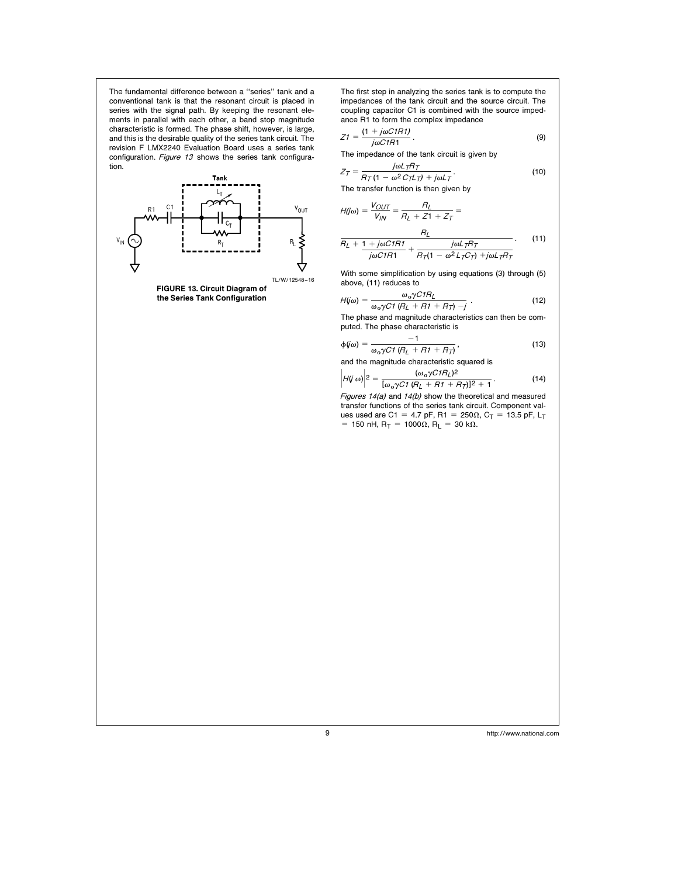The fundamental difference between a ''series'' tank and a conventional tank is that the resonant circuit is placed in series with the signal path. By keeping the resonant elements in parallel with each other, a band stop magnitude characteristic is formed. The phase shift, however, is large, and this is the desirable quality of the series tank circuit. The revision F LMX2240 Evaluation Board uses a series tank configuration. Figure 13 shows the series tank configuration.



The first step in analyzing the series tank is to compute the impedances of the tank circuit and the source circuit. The coupling capacitor C1 is combined with the source impedance R1 to form the complex impedance

$$
Zt = \frac{(1 + j\omega CtR1)}{j\omega CtR1}.
$$
\n(9)

The impedance of the tank circuit is given by

$$
Z_T = \frac{j\omega L_T R_T}{R_T (1 - \omega^2 C_T L_T) + j\omega L_T}.
$$
 (10)

The transfer function is then given by

$$
H(j\omega) = \frac{V_{OUT}}{V_{IN}} = \frac{R_L}{R_L + Z1 + Z_T} =
$$
  

$$
\frac{R_L}{R_L + 1 + j\omega C I R1} \qquad j\omega L_T R_T \qquad (11)
$$

$$
R_L + \frac{1 + j\omega C I R1}{j\omega C I R1} + \frac{j\omega L_1 R_1}{R_1 (1 - \omega^2 L_1 C_1) + j\omega L_1 R_1}
$$

With some simplification by using equations (3) through (5) above, (11) reduces to

$$
H(j\omega) = \frac{\omega_0 \gamma C I R_L}{\omega_0 \gamma C I (R_L + R I + R_T) - j} \,. \tag{12}
$$

The phase and magnitude characteristics can then be computed. The phase characteristic is

$$
\phi(j\omega) = \frac{-1}{\omega_0 \gamma C \mathcal{I} \left( R_L + R \mathcal{I} + R \mathcal{I} \right)},\tag{13}
$$

and the magnitude characteristic squared is  
\n
$$
|H(j\omega)|^2 = \frac{(\omega_0 \gamma C I R_L)^2}{[\omega_0 \gamma C I (R_L + R I + R_T)]^2 + 1}.
$$
\n(14)

Figures 14(a) and 14(b) show the theoretical and measured transfer functions of the series tank circuit. Component values used are C1 = 4.7 pF, R1 = 250 $\Omega$ , C<sub>T</sub> = 13.5 pF, L<sub>T</sub>  $= 150$  nH, R<sub>T</sub> = 1000 $\Omega$ , R<sub>L</sub> = 30 k $\Omega$ .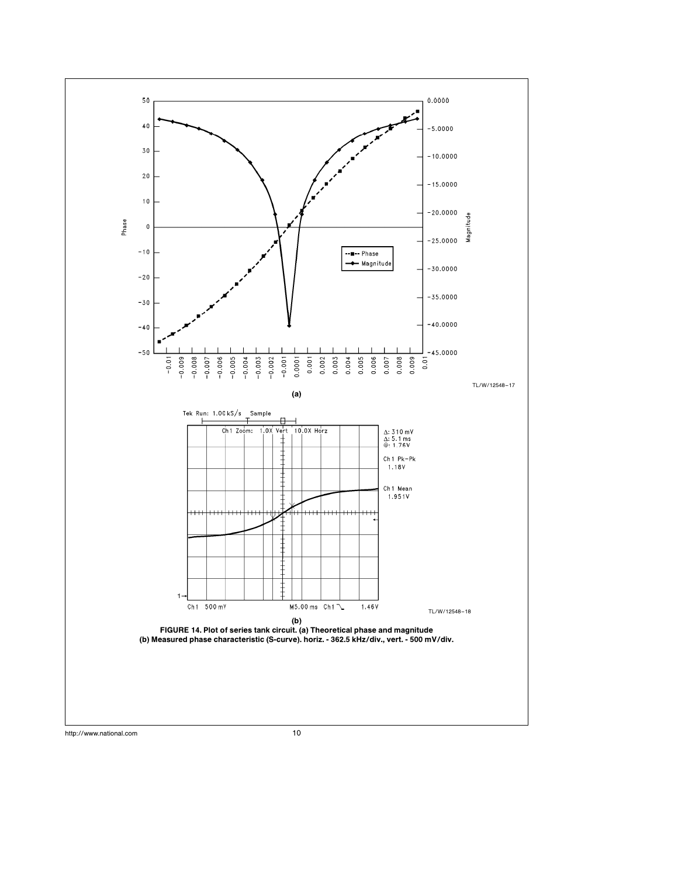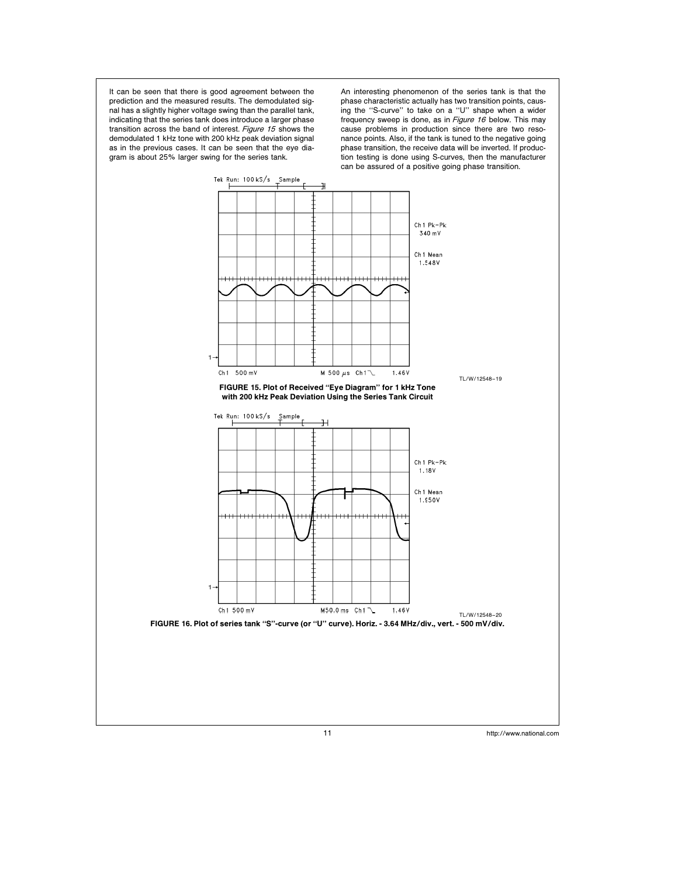It can be seen that there is good agreement between the prediction and the measured results. The demodulated signal has a slightly higher voltage swing than the parallel tank, indicating that the series tank does introduce a larger phase transition across the band of interest. Figure 15 shows the demodulated 1 kHz tone with 200 kHz peak deviation signal as in the previous cases. It can be seen that the eye diagram is about 25% larger swing for the series tank.

An interesting phenomenon of the series tank is that the phase characteristic actually has two transition points, causing the ''S-curve'' to take on a ''U'' shape when a wider frequency sweep is done, as in Figure 16 below. This may cause problems in production since there are two resonance points. Also, if the tank is tuned to the negative going phase transition, the receive data will be inverted. If production testing is done using S-curves, then the manufacturer can be assured of a positive going phase transition.